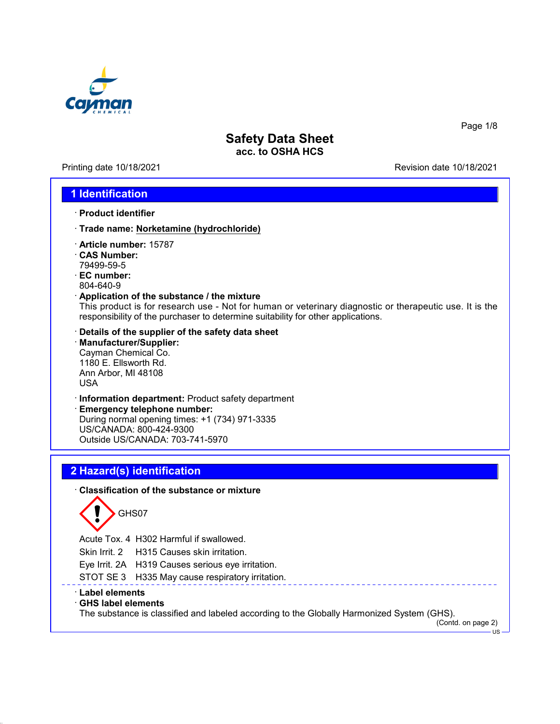

Printing date 10/18/2021 **Printing date 10/18/2021** 

Page 1/8

## **1 Identification**

- · **Product identifier**
- · **Trade name: Norketamine (hydrochloride)**
- · **Article number:** 15787
- · **CAS Number:** 79499-59-5
- · **EC number:** 804-640-9
- · **Application of the substance / the mixture**

This product is for research use - Not for human or veterinary diagnostic or therapeutic use. It is the responsibility of the purchaser to determine suitability for other applications.

- · **Details of the supplier of the safety data sheet**
- · **Manufacturer/Supplier:** Cayman Chemical Co. 1180 E. Ellsworth Rd. Ann Arbor, MI 48108 USA
- · **Information department:** Product safety department

· **Emergency telephone number:** During normal opening times: +1 (734) 971-3335 US/CANADA: 800-424-9300 Outside US/CANADA: 703-741-5970

# **2 Hazard(s) identification**

### · **Classification of the substance or mixture**



Acute Tox. 4 H302 Harmful if swallowed.

Skin Irrit. 2 H315 Causes skin irritation.

Eye Irrit. 2A H319 Causes serious eye irritation.

STOT SE 3 H335 May cause respiratory irritation.

### · **Label elements**

### · **GHS label elements**

The substance is classified and labeled according to the Globally Harmonized System (GHS).

(Contd. on page 2) US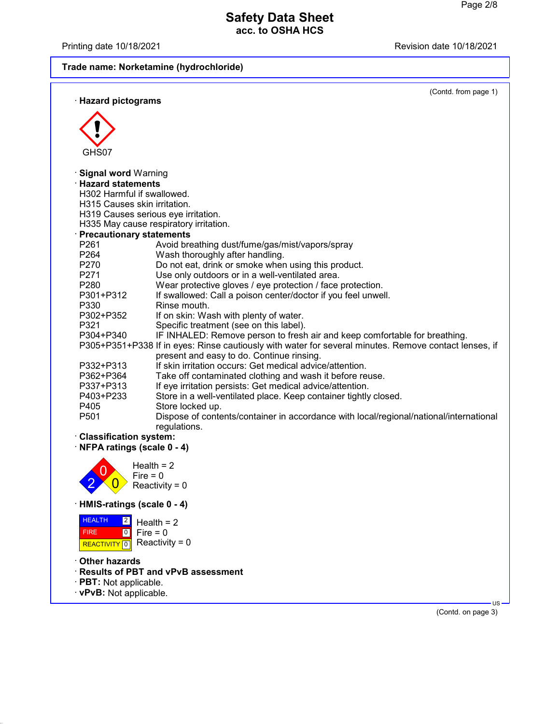Printing date 10/18/2021 **Printing date 10/18/2021** 

**Trade name: Norketamine (hydrochloride)**

(Contd. from page 1)

| · Hazard pictograms                                         | (Contd. from page 1)                                                                                  |
|-------------------------------------------------------------|-------------------------------------------------------------------------------------------------------|
|                                                             |                                                                                                       |
|                                                             |                                                                                                       |
|                                                             |                                                                                                       |
| GHS07                                                       |                                                                                                       |
| · Signal word Warning                                       |                                                                                                       |
| <b>Hazard statements</b>                                    |                                                                                                       |
| H302 Harmful if swallowed.                                  |                                                                                                       |
| H315 Causes skin irritation.                                |                                                                                                       |
|                                                             | H319 Causes serious eye irritation.                                                                   |
|                                                             | H335 May cause respiratory irritation.                                                                |
| · Precautionary statements                                  |                                                                                                       |
| P261                                                        | Avoid breathing dust/fume/gas/mist/vapors/spray                                                       |
| P264                                                        | Wash thoroughly after handling.                                                                       |
| P270                                                        | Do not eat, drink or smoke when using this product.                                                   |
| P271                                                        | Use only outdoors or in a well-ventilated area.                                                       |
| P280                                                        | Wear protective gloves / eye protection / face protection.                                            |
| P301+P312                                                   | If swallowed: Call a poison center/doctor if you feel unwell.                                         |
| P330                                                        | Rinse mouth.                                                                                          |
| P302+P352                                                   | If on skin: Wash with plenty of water.                                                                |
| P321                                                        | Specific treatment (see on this label).                                                               |
| P304+P340                                                   | IF INHALED: Remove person to fresh air and keep comfortable for breathing.                            |
|                                                             | P305+P351+P338 If in eyes: Rinse cautiously with water for several minutes. Remove contact lenses, if |
|                                                             | present and easy to do. Continue rinsing.                                                             |
| P332+P313                                                   | If skin irritation occurs: Get medical advice/attention.                                              |
| P362+P364                                                   | Take off contaminated clothing and wash it before reuse.                                              |
| P337+P313                                                   | If eye irritation persists: Get medical advice/attention.                                             |
| P403+P233                                                   | Store in a well-ventilated place. Keep container tightly closed.                                      |
| P405                                                        | Store locked up.                                                                                      |
| P501                                                        | Dispose of contents/container in accordance with local/regional/national/international                |
|                                                             | regulations.                                                                                          |
| <b>Classification system:</b><br>NFPA ratings (scale 0 - 4) |                                                                                                       |
|                                                             |                                                                                                       |
|                                                             | Health $= 2$<br>$Fire = 0$                                                                            |
|                                                             | Reactivity = $0$                                                                                      |
|                                                             |                                                                                                       |
| HMIS-ratings (scale 0 - 4)                                  |                                                                                                       |
| <b>HEALTH</b><br> 2                                         | Health $= 2$                                                                                          |
| $\overline{0}$<br><b>FIRE</b>                               | $Fire = 0$                                                                                            |
| <b>REACTIVITY</b><br>$\boxed{0}$                            | Reactivity = $0$                                                                                      |
|                                                             |                                                                                                       |
| ∙ Other hazards                                             |                                                                                                       |
|                                                             | · Results of PBT and vPvB assessment                                                                  |
| · PBT: Not applicable.                                      |                                                                                                       |
| · vPvB: Not applicable.                                     |                                                                                                       |
|                                                             | $US -$<br>(Contd. on page 3)                                                                          |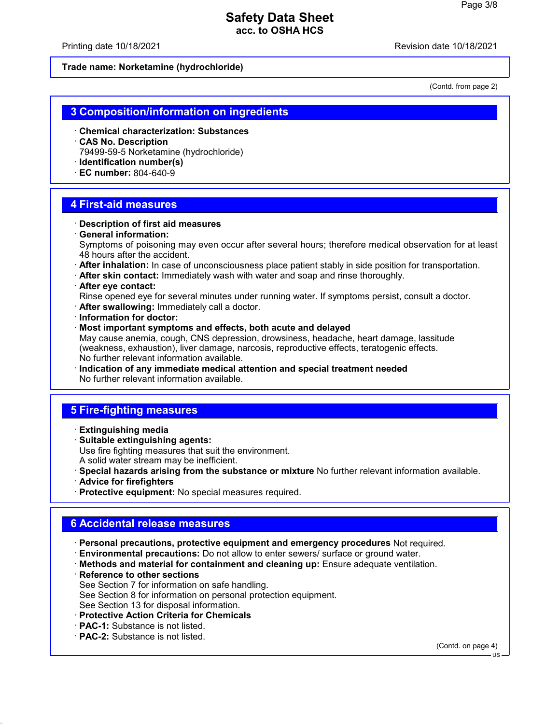Printing date 10/18/2021 Revision date 10/18/2021

**Trade name: Norketamine (hydrochloride)**

(Contd. from page 2)

### **3 Composition/information on ingredients**

- · **Chemical characterization: Substances**
- · **CAS No. Description** 79499-59-5 Norketamine (hydrochloride)
- · **Identification number(s)**
- · **EC number:** 804-640-9

### **4 First-aid measures**

- · **Description of first aid measures**
- · **General information:**

Symptoms of poisoning may even occur after several hours; therefore medical observation for at least 48 hours after the accident.

- · **After inhalation:** In case of unconsciousness place patient stably in side position for transportation.
- · **After skin contact:** Immediately wash with water and soap and rinse thoroughly.
- · **After eye contact:**

Rinse opened eye for several minutes under running water. If symptoms persist, consult a doctor.

- · **After swallowing:** Immediately call a doctor.
- · **Information for doctor:**
- · **Most important symptoms and effects, both acute and delayed**

May cause anemia, cough, CNS depression, drowsiness, headache, heart damage, lassitude (weakness, exhaustion), liver damage, narcosis, reproductive effects, teratogenic effects. No further relevant information available.

· **Indication of any immediate medical attention and special treatment needed** No further relevant information available.

# **5 Fire-fighting measures**

- · **Extinguishing media**
- · **Suitable extinguishing agents:** Use fire fighting measures that suit the environment. A solid water stream may be inefficient.
- · **Special hazards arising from the substance or mixture** No further relevant information available.
- · **Advice for firefighters**
- · **Protective equipment:** No special measures required.

## **6 Accidental release measures**

- · **Personal precautions, protective equipment and emergency procedures** Not required.
- · **Environmental precautions:** Do not allow to enter sewers/ surface or ground water.
- · **Methods and material for containment and cleaning up:** Ensure adequate ventilation.
- · **Reference to other sections** See Section 7 for information on safe handling. See Section 8 for information on personal protection equipment. See Section 13 for disposal information.
- · **Protective Action Criteria for Chemicals**
- · **PAC-1:** Substance is not listed.
- · **PAC-2:** Substance is not listed.

(Contd. on page 4)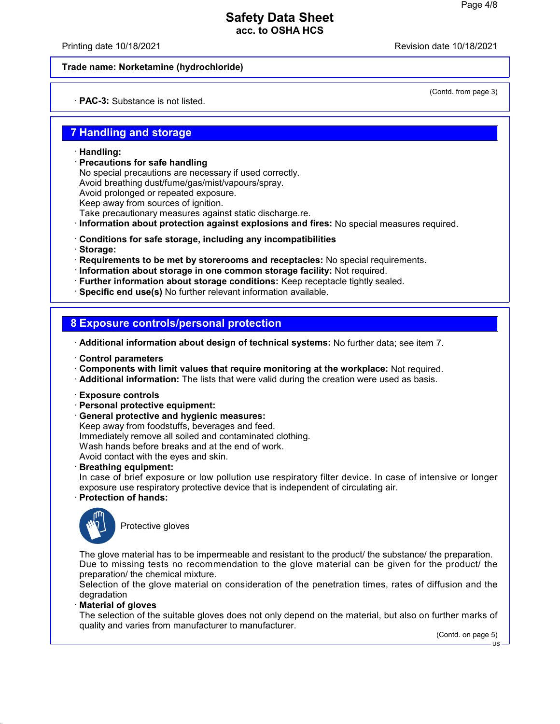Printing date 10/18/2021 Revision date 10/18/2021

(Contd. from page 3)

### **Trade name: Norketamine (hydrochloride)**

· **PAC-3:** Substance is not listed.

## **7 Handling and storage**

- · **Handling:**
- · **Precautions for safe handling**

No special precautions are necessary if used correctly. Avoid breathing dust/fume/gas/mist/vapours/spray. Avoid prolonged or repeated exposure. Keep away from sources of ignition. Take precautionary measures against static discharge.re.

· **Information about protection against explosions and fires:** No special measures required.

- · **Conditions for safe storage, including any incompatibilities**
- · **Storage:**

· **Requirements to be met by storerooms and receptacles:** No special requirements.

- · **Information about storage in one common storage facility:** Not required.
- · **Further information about storage conditions:** Keep receptacle tightly sealed.
- · **Specific end use(s)** No further relevant information available.

## **8 Exposure controls/personal protection**

· **Additional information about design of technical systems:** No further data; see item 7.

- · **Control parameters**
- · **Components with limit values that require monitoring at the workplace:** Not required.
- · **Additional information:** The lists that were valid during the creation were used as basis.
- · **Exposure controls**
- · **Personal protective equipment:**
- · **General protective and hygienic measures:**
- Keep away from foodstuffs, beverages and feed. Immediately remove all soiled and contaminated clothing.

Wash hands before breaks and at the end of work.

Avoid contact with the eyes and skin.

- · **Breathing equipment:**
- In case of brief exposure or low pollution use respiratory filter device. In case of intensive or longer exposure use respiratory protective device that is independent of circulating air.

### · **Protection of hands:**



Protective gloves

The glove material has to be impermeable and resistant to the product/ the substance/ the preparation. Due to missing tests no recommendation to the glove material can be given for the product/ the preparation/ the chemical mixture.

Selection of the glove material on consideration of the penetration times, rates of diffusion and the degradation

· **Material of gloves**

The selection of the suitable gloves does not only depend on the material, but also on further marks of quality and varies from manufacturer to manufacturer.

(Contd. on page 5)

 $H<sub>S</sub>$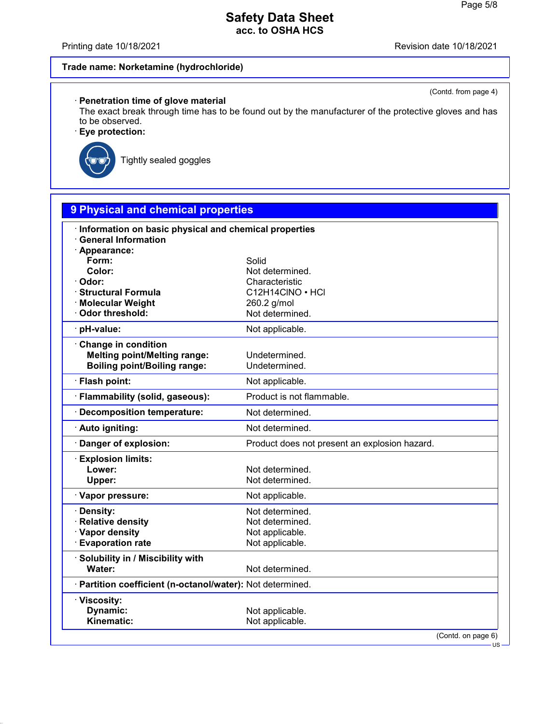Printing date 10/18/2021 **Revision date 10/18/2021** 

(Contd. from page 4)

# **Trade name: Norketamine (hydrochloride)**

### · **Penetration time of glove material**

The exact break through time has to be found out by the manufacturer of the protective gloves and has to be observed.

· **Eye protection:**



Tightly sealed goggles

| 9 Physical and chemical properties                         |                                               |  |  |  |
|------------------------------------------------------------|-----------------------------------------------|--|--|--|
| Information on basic physical and chemical properties      |                                               |  |  |  |
| <b>General Information</b>                                 |                                               |  |  |  |
| · Appearance:                                              |                                               |  |  |  |
| Form:                                                      | Solid                                         |  |  |  |
| Color:                                                     | Not determined.                               |  |  |  |
| · Odor:                                                    | Characteristic                                |  |  |  |
| · Structural Formula                                       | C12H14CINO · HCI                              |  |  |  |
| · Molecular Weight<br>Odor threshold:                      | 260.2 g/mol<br>Not determined.                |  |  |  |
|                                                            |                                               |  |  |  |
| pH-value:                                                  | Not applicable.                               |  |  |  |
| Change in condition                                        |                                               |  |  |  |
| <b>Melting point/Melting range:</b>                        | Undetermined.                                 |  |  |  |
| <b>Boiling point/Boiling range:</b>                        | Undetermined.                                 |  |  |  |
| · Flash point:                                             | Not applicable.                               |  |  |  |
| · Flammability (solid, gaseous):                           | Product is not flammable.                     |  |  |  |
| Decomposition temperature:                                 | Not determined.                               |  |  |  |
| · Auto igniting:                                           | Not determined.                               |  |  |  |
| Danger of explosion:                                       | Product does not present an explosion hazard. |  |  |  |
| <b>Explosion limits:</b>                                   |                                               |  |  |  |
| Lower:                                                     | Not determined.                               |  |  |  |
| Upper:                                                     | Not determined.                               |  |  |  |
| · Vapor pressure:                                          | Not applicable.                               |  |  |  |
| · Density:                                                 | Not determined.                               |  |  |  |
| <b>Relative density</b>                                    | Not determined.                               |  |  |  |
| · Vapor density                                            | Not applicable.                               |  |  |  |
| <b>Evaporation rate</b>                                    | Not applicable.                               |  |  |  |
| Solubility in / Miscibility with                           |                                               |  |  |  |
| Water:                                                     | Not determined.                               |  |  |  |
| · Partition coefficient (n-octanol/water): Not determined. |                                               |  |  |  |
| · Viscosity:                                               |                                               |  |  |  |
| Dynamic:                                                   | Not applicable.                               |  |  |  |
| Kinematic:                                                 | Not applicable.                               |  |  |  |
|                                                            | (Contd. on page 6)                            |  |  |  |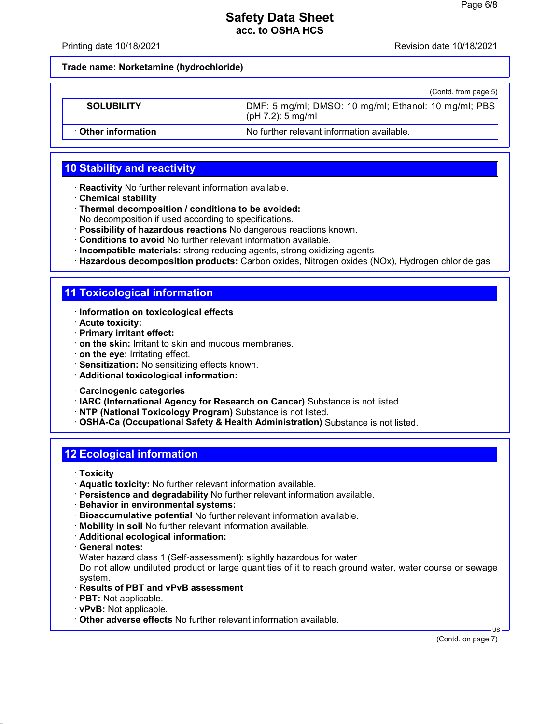Printing date 10/18/2021 Revision date 10/18/2021

**Trade name: Norketamine (hydrochloride)**

|                            | (Contd. from page 5)                                                         |
|----------------------------|------------------------------------------------------------------------------|
| <b>SOLUBILITY</b>          | DMF: 5 mg/ml; DMSO: 10 mg/ml; Ethanol: 10 mg/ml; PBS<br>$(pH 7.2)$ : 5 mg/ml |
| <b>⋅ Other information</b> | No further relevant information available.                                   |

# **10 Stability and reactivity**

- · **Reactivity** No further relevant information available.
- · **Chemical stability**
- · **Thermal decomposition / conditions to be avoided:** No decomposition if used according to specifications.
- · **Possibility of hazardous reactions** No dangerous reactions known.
- · **Conditions to avoid** No further relevant information available.
- · **Incompatible materials:** strong reducing agents, strong oxidizing agents
- · **Hazardous decomposition products:** Carbon oxides, Nitrogen oxides (NOx), Hydrogen chloride gas

## **11 Toxicological information**

- · **Information on toxicological effects**
- · **Acute toxicity:**
- · **Primary irritant effect:**
- · **on the skin:** Irritant to skin and mucous membranes.
- · **on the eye:** Irritating effect.
- · **Sensitization:** No sensitizing effects known.
- · **Additional toxicological information:**
- · **Carcinogenic categories**
- · **IARC (International Agency for Research on Cancer)** Substance is not listed.
- · **NTP (National Toxicology Program)** Substance is not listed.

· **OSHA-Ca (Occupational Safety & Health Administration)** Substance is not listed.

# **12 Ecological information**

- · **Toxicity**
- · **Aquatic toxicity:** No further relevant information available.
- · **Persistence and degradability** No further relevant information available.
- · **Behavior in environmental systems:**
- · **Bioaccumulative potential** No further relevant information available.
- · **Mobility in soil** No further relevant information available.
- · **Additional ecological information:**
- · **General notes:**

Water hazard class 1 (Self-assessment): slightly hazardous for water

Do not allow undiluted product or large quantities of it to reach ground water, water course or sewage system.

- · **Results of PBT and vPvB assessment**
- · **PBT:** Not applicable.
- · **vPvB:** Not applicable.
- · **Other adverse effects** No further relevant information available.

(Contd. on page 7)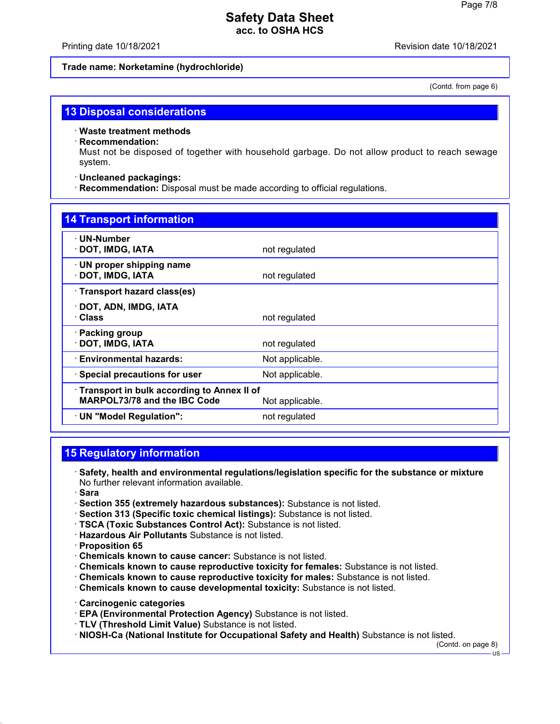Printing date 10/18/2021 Revision date 10/18/2021

### **Trade name: Norketamine (hydrochloride)**

(Contd. from page 6)

### **13 Disposal considerations**

· **Waste treatment methods**

### · **Recommendation:**

Must not be disposed of together with household garbage. Do not allow product to reach sewage system.

### · **Uncleaned packagings:**

· **Recommendation:** Disposal must be made according to official regulations.

| <b>14 Transport information</b>                                                                      |                 |  |
|------------------------------------------------------------------------------------------------------|-----------------|--|
| $\cdot$ UN-Number<br>· DOT, IMDG, IATA                                                               | not regulated   |  |
| · UN proper shipping name<br>· DOT, IMDG, IATA                                                       | not regulated   |  |
| · Transport hazard class(es)                                                                         |                 |  |
| · DOT, ADN, IMDG, IATA<br>· Class                                                                    | not regulated   |  |
| · Packing group<br>· DOT, IMDG, IATA                                                                 | not regulated   |  |
| · Environmental hazards:                                                                             | Not applicable. |  |
| $\cdot$ Special precautions for user                                                                 | Not applicable. |  |
| Transport in bulk according to Annex II of<br><b>MARPOL73/78 and the IBC Code</b><br>Not applicable. |                 |  |
| · UN "Model Regulation":                                                                             | not regulated   |  |

# **15 Regulatory information**

- · **Safety, health and environmental regulations/legislation specific for the substance or mixture** No further relevant information available.
- · **Sara**
- · **Section 355 (extremely hazardous substances):** Substance is not listed.
- · **Section 313 (Specific toxic chemical listings):** Substance is not listed.
- · **TSCA (Toxic Substances Control Act):** Substance is not listed.
- · **Hazardous Air Pollutants** Substance is not listed.
- · **Proposition 65**
- · **Chemicals known to cause cancer:** Substance is not listed.
- · **Chemicals known to cause reproductive toxicity for females:** Substance is not listed.
- · **Chemicals known to cause reproductive toxicity for males:** Substance is not listed.
- · **Chemicals known to cause developmental toxicity:** Substance is not listed.
- · **Carcinogenic categories**
- · **EPA (Environmental Protection Agency)** Substance is not listed.
- · **TLV (Threshold Limit Value)** Substance is not listed.
- · **NIOSH-Ca (National Institute for Occupational Safety and Health)** Substance is not listed.

(Contd. on page 8)